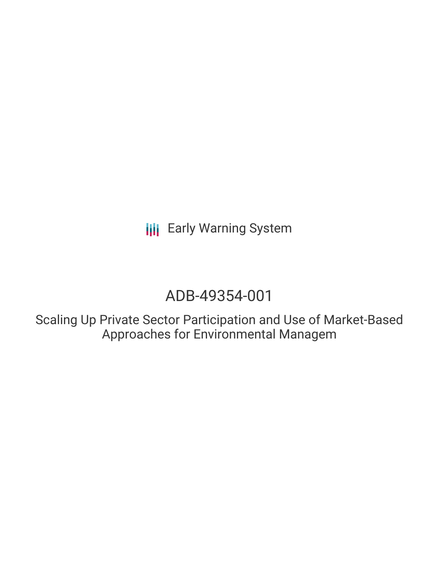**III** Early Warning System

# ADB-49354-001

Scaling Up Private Sector Participation and Use of Market-Based Approaches for Environmental Managem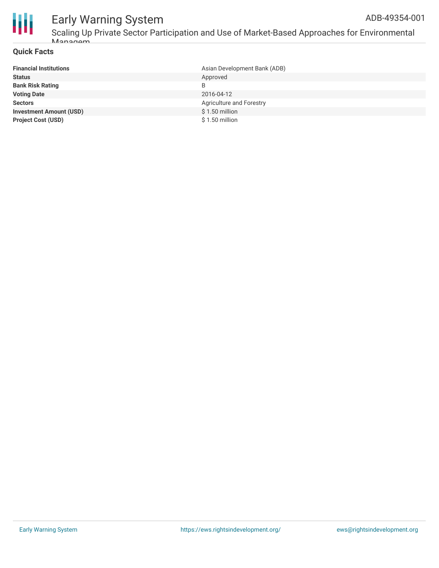

### Early Warning System ADB-49354-001

Scaling Up Private Sector Participation and Use of Market-Based Approaches for Environmental Managam

#### **Quick Facts**

| <b>Financial Institutions</b>  | Asian Development Bank (ADB) |
|--------------------------------|------------------------------|
| <b>Status</b>                  | Approved                     |
| <b>Bank Risk Rating</b>        | B                            |
| <b>Voting Date</b>             | 2016-04-12                   |
| <b>Sectors</b>                 | Agriculture and Forestry     |
| <b>Investment Amount (USD)</b> | $$1.50$ million              |
| <b>Project Cost (USD)</b>      | $$1.50$ million              |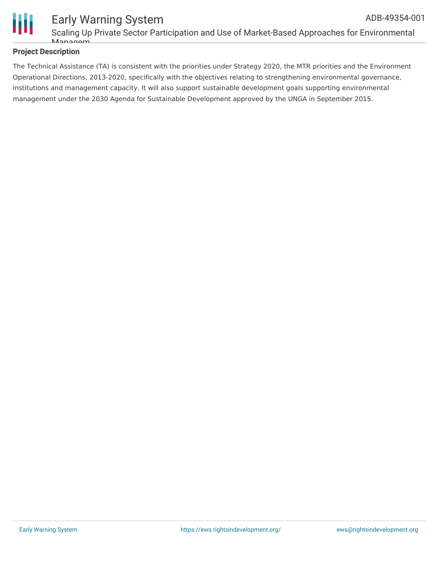

#### Early Warning System Scaling Up Private Sector Participation and Use of Market-Based Approaches for Environmental Managam ADB-49354-001

#### **Project Description**

The Technical Assistance (TA) is consistent with the priorities under Strategy 2020, the MTR priorities and the Environment Operational Directions, 2013-2020, specifically with the objectives relating to strengthening environmental governance, institutions and management capacity. It will also support sustainable development goals supporting environmental management under the 2030 Agenda for Sustainable Development approved by the UNGA in September 2015.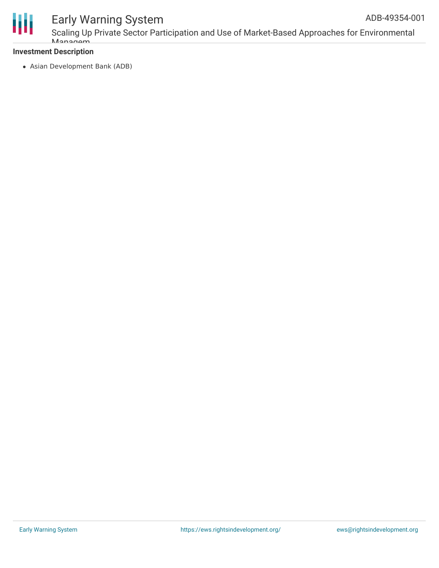

## Early Warning System

Scaling Up Private Sector Participation and Use of Market-Based Approaches for Environmental Managam

#### **Investment Description**

Asian Development Bank (ADB)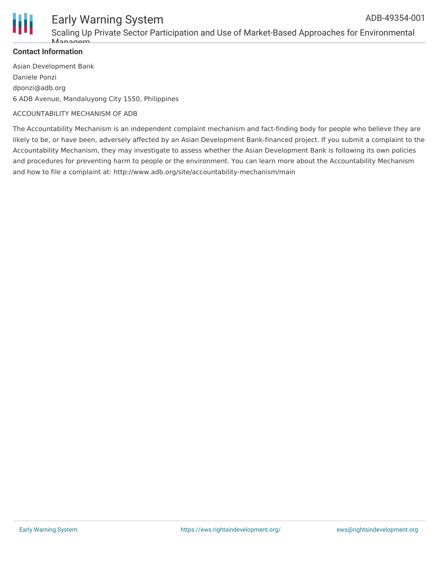

### Early Warning System

Scaling Up Private Sector Participation and Use of Market-Based Approaches for Environmental Managan

#### **Contact Information**

Asian Development Bank Daniele Ponzi dponzi@adb.org 6 ADB Avenue, Mandaluyong City 1550, Philippines

#### ACCOUNTABILITY MECHANISM OF ADB

The Accountability Mechanism is an independent complaint mechanism and fact-finding body for people who believe they are likely to be, or have been, adversely affected by an Asian Development Bank-financed project. If you submit a complaint to the Accountability Mechanism, they may investigate to assess whether the Asian Development Bank is following its own policies and procedures for preventing harm to people or the environment. You can learn more about the Accountability Mechanism and how to file a complaint at: http://www.adb.org/site/accountability-mechanism/main